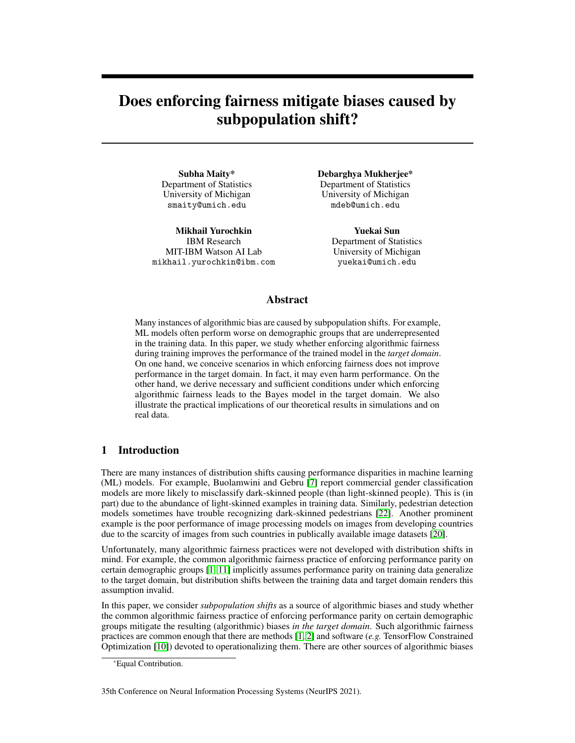# Does enforcing fairness mitigate biases caused by subpopulation shift?

Subha Maity\* Department of Statistics University of Michigan smaity@umich.edu

Mikhail Yurochkin IBM Research MIT-IBM Watson AI Lab mikhail.yurochkin@ibm.com Debarghya Mukherjee\* Department of Statistics University of Michigan mdeb@umich.edu

> Yuekai Sun Department of Statistics University of Michigan yuekai@umich.edu

# Abstract

Many instances of algorithmic bias are caused by subpopulation shifts. For example, ML models often perform worse on demographic groups that are underrepresented in the training data. In this paper, we study whether enforcing algorithmic fairness during training improves the performance of the trained model in the *target domain*. On one hand, we conceive scenarios in which enforcing fairness does not improve performance in the target domain. In fact, it may even harm performance. On the other hand, we derive necessary and sufficient conditions under which enforcing algorithmic fairness leads to the Bayes model in the target domain. We also illustrate the practical implications of our theoretical results in simulations and on real data.

# 1 Introduction

There are many instances of distribution shifts causing performance disparities in machine learning (ML) models. For example, Buolamwini and Gebru [\[7\]](#page-9-0) report commercial gender classification models are more likely to misclassify dark-skinned people (than light-skinned people). This is (in part) due to the abundance of light-skinned examples in training data. Similarly, pedestrian detection models sometimes have trouble recognizing dark-skinned pedestrians [\[22\]](#page-10-0). Another prominent example is the poor performance of image processing models on images from developing countries due to the scarcity of images from such countries in publically available image datasets [\[20\]](#page-10-1).

Unfortunately, many algorithmic fairness practices were not developed with distribution shifts in mind. For example, the common algorithmic fairness practice of enforcing performance parity on certain demographic groups [\[1,](#page-9-1) [11\]](#page-10-2) implicitly assumes performance parity on training data generalize to the target domain, but distribution shifts between the training data and target domain renders this assumption invalid.

In this paper, we consider *subpopulation shifts* as a source of algorithmic biases and study whether the common algorithmic fairness practice of enforcing performance parity on certain demographic groups mitigate the resulting (algorithmic) biases *in the target domain*. Such algorithmic fairness practices are common enough that there are methods [\[1,](#page-9-1) [2\]](#page-9-2) and software (*e.g.* TensorFlow Constrained Optimization [\[10\]](#page-9-3)) devoted to operationalizing them. There are other sources of algorithmic biases

#### 35th Conference on Neural Information Processing Systems (NeurIPS 2021).

<sup>\*</sup>Equal Contribution.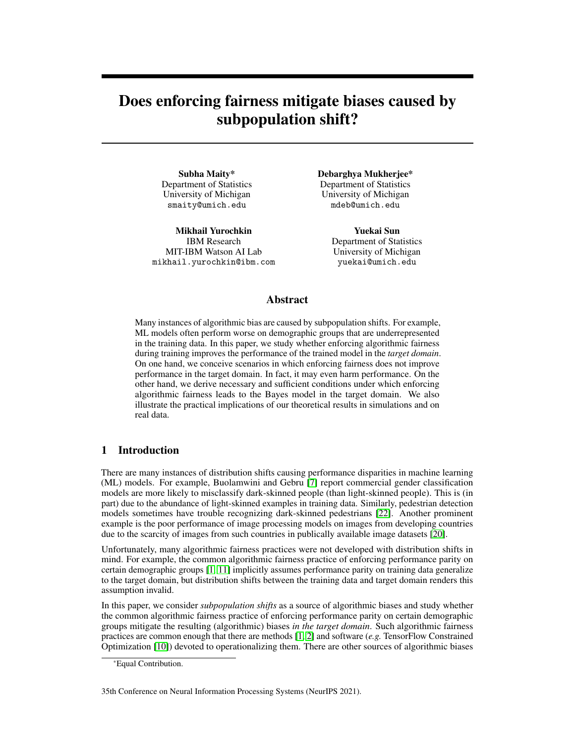(*e.g.* posterior drift [\[17\]](#page-10-3)), but we focus on algorithmic biases caused by subpopulation shifts in this paper. Our main contributions are:

- 1. We propose risk profiles as a way of summarizing the performance of ML models on subpopulations. As we shall see, this summary is particularly suitable for studying the performance of risk minimization methods.
- 2. We show that enforcing performance parity during training may not mitigate performance disparities in the target domain. In fact, it may even harm overall performance.
- 3. We decompose subpopulation shifts into two parts, a recoverable part orthogonal to the fair constraint and a non-recoverable part, and derive necessary and sufficient conditions on subpopulation shifts under which enforcing performance parity improves performance in the target domain (see Section [4.4\)](#page-5-0).

One of the main takeaways of our study is a purely statistical way of evaluating the notion of algorithmic fairness for subpopulation shift: an effective algorithmic fairness practice should improve overall model performance in the target domain. Our theoretical results characterize when this occurs for risk-based notions of algorithmic fairness.

# <span id="page-1-1"></span>2 Problem setup

We consider a standard classification setup. Let  $X$   $\mathbb{R}^d$  be the feature space, Y be the set of possible labels, and  $\overline{A}$  be the set of possible values of the sensitive attribute. In this setup, training and test examples are tuples of the form  $(X, A, Y) \ge X \le A \le Y$ . If the ML task is predicting whether a borrower will default on a loan, then each training/test example corresponds to a loan. The features in  $X$  may include the borrower's credit history, income level, and outstanding debts; the label  $Y \nightharpoonup \mathcal{D}$ ; 1g encodes whether the borrower defaulted on the loan; the sensitive attribute may be the borrower's gender or race.

Let P and P be probability distributions on  $X$  - A - Y. We consider P as the distribution of the training data and  $\hat{P}$  as the distribution of data in a hypothetical target domain. For example,  $P$  may be the distribution of data in the real world, and  $\hat{P}$  is a biased sample in which certain demographic groups are underrepresented. The difference  $P$   $\hat{P}$  is the distribution shift. In practice, distribution  $\hat{P}$  is the distribution shift. In practice, distribution shifts often arise due to sampling biases during the (training) data collection process, so we call P and  $\beta$  unbiased and biased respectively and refer to P  $\beta$  as the bias (in the training data). Henceforth  $E$  (resp.  $E$ ) will denote expectation under P (resp. P). The set of all hypotheses under consideration is denoted by H and ` : Y - Y 7! R<sup>+</sup> denotes the loss function under consideration. In Section [3](#page-1-0) and [4](#page-3-0) we assume the set of sensitive attribute  $\vec{A}$  is discrete. The case with continuous  $\vec{A}$ is relegated to the supplementary document (Appendix [2\)](#page-1-1).

# <span id="page-1-0"></span>3 Benefits and drawbacks of enforcing risk parity

To keep things simple, we start by considering the effects of enforcing risk parity (RP). This notion is closely related to the notion of *demographic parity (DP)*. Recall DP requires the *output* of the ML model  $h(X)$  to be independent of the sensitive attribute A:  $h(X) \supseteq A$ . RP imposes a similar condition on the *risk* of the ML model.

Definition 3.1 (risk parity). *A model* h *satisfies risk parity with respect to the distribution* P *on* X - Y - A *if*

$$
E_P \left( h(X) / Y \right) / A = a = E_P \left( h(X) / Y \right) / A = a^{\theta} \text{ for all } a / a^{\theta} \geq A \text{ and all } h \geq H.
$$

RP is widely used in practice to measure algorithmic bias in ML models. For example, the US National Institute of Standards and Technology (NIST) tested facial recognition systems and found that the systems misidentify blacks at rates 5 to 10 times higher than whites [\[21\]](#page-10-4). By comparing the error rates of the system on blacks and whites, NIST is implicitly adopting RP as its definition of algorithmic fairness.

It is not hard to see that RP is equivalent to linear constraints on the risk profile  $(R_{\rho}(h))$  of an ML model with respect to  $\hat{P}$ :

<span id="page-1-2"></span>
$$
R_P(h)
$$
,  $E_P$   $(h(X)/Y) j A = a_{a2A}$ : (3.1)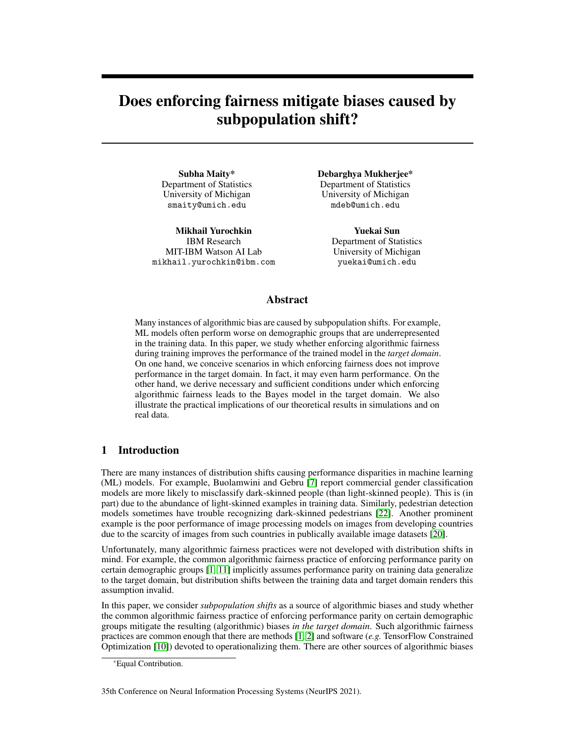

<span id="page-2-1"></span>Figure 1: Fair risk minimization problem when there are two groups. Recall  $R$  is a set of risk profiles and  $\overline{F}$  is the set of risk profiles that satisfy risk parity. The horizontal and vertical coordinates of the risk profiles represent the risk of the model on the majority and minority subpopulations. In the left plot, we see the empirical risk minimization (ERM) optimal point  $\hat{R}$  and the fair risk minimization (FRM) optimal point  $\hat{R}_F$ . In the center plot, we see that FRM can both improve and harm performance in the target domain (as long as the assumptions of [3.2](#page-3-1) are satisfied). The green dotted line separates the  $P_A$ 's that lead to worse and improved performance in the target domain: if  $P_A$  falls below the green line, then FRM harms performance in the target domain. In the right plots, we reproduce this effect in a simulation. As the fraction of samples from the minority group decreases in the target domain, there is a point beyond which enforcing fairness harms accuracy (in the target domain). We refer to Appendix C for the simulation details.

For notational simplicity define  $R$  as the set of all risk profiles with respect to the training distribution P, i.e. R  $\overline{PR(h)}$  j h 2 Hg. The risk profile of a model summarizes its performance on subpopulations. In terms of risk profiles, RP with respect to distribution P requires  $R_P(h) = c1$ for some constant  $c \, 2 \, R$ . This is a linear constraint. The set of all risk profiles that satisfy the RP constraint with respect to the training distribution  $P$  constitutes the following subspace:

$$
F_{\mathsf{RP}} \quad F_{\mathsf{RP}}(P) \quad fR_{\rho}(h) \; 2 \; \mathsf{R}^{jA j} \quad R_{\rho}(h) = c1; 1 \; 2 \; \mathsf{R}^{jA j}; c \; 2 \; \mathsf{R} g.
$$

<span id="page-2-0"></span>Therefore, we enforce RP by solving (the empirical version of) a constraint risk minimization problem

$$
\begin{array}{ll}\n\text{( min}_{h2H} & \text{E}^{\circ}(h(X); Y) & \text{( min}_{R2R} & h\bar{P}_{A}; R_{P}(h)i \\
\text{subject to} & R_{P}(h) \ 2 \ F_{RP} & \text{subject to} & R_{P}(h) \ 2 \ F_{RP}\n\end{array}
$$
\n(3.2)

where  $\hat{P}_A \supseteq [0, 1]^{A}$  is the marginal distribution of A and consequently  $h\hat{P}_A$ ;  $R_i = \hat{E}$   $(h(X), Y)$ . Note that, in [\(3.2\)](#page-2-0), the inner product h; i is euclidean inner product on  $\mathbb{R}^{jA_j}$ . We define the minimizer of [\(3.2\)](#page-2-0) as  $\hat{\mathcal{P}}_F$  and its corresponding risk profile as  $\hat{\mathcal{R}}_F = R_{\hat{\rho}}(\hat{\mathcal{P}}_F)$ . See Figure [1](#page-2-1) for a graphical depiction of [\(3.2\)](#page-2-0) when there are two groups ( $A = f0$ ; 1g). Here we see the main benefit of summarizing model performance with risk profiles: risk minimization problems are equivalent to linear optimization problems in terms of risk profiles (objective and constrain functions are linear in terms of risk profile). This allows us to simplify our study of the effects of enforcing risk parity by reasoning about the risk profiles of the resulting models. Hereafter, we refer to this approach as *fair risk minimization (FRM)*. It is not new; similar constrained optimization problems have appeared in the algorithmic fairness literature (*e.g.* see [\[1,](#page-9-1) [12,](#page-10-5) [10\]](#page-9-3)). Our goal is evaluating whether this approach mitigates algorithmic biases and improves model performance *in the target domain*. There are efficient algorithms for solving [\(4.3\)](#page-4-0). One popular algorithm is a reductions approach by Agarwal et al. [\[1\]](#page-9-1), which solves a sequence of weighted classification problems with appropriately chosen weights to satisfy the desired algorithmic fairness constraints. This algorithm outputs randomized classifiers, which justifies the subsequent convexity assumption on the set of risk profiles.

In order to relate model performance in the training and target domains, some restrictions on the distribution shift/bias is necessary, as it is impossible to transfer performance parity during training to the target domain if they are highly disparate. At a high-level, we assume the distribution shift is a *subpopulation shift* [\[16\]](#page-10-6). Formally, we assume that the risk profiles of the models with respect to P and the profiles with respect to  $\beta$  are identical:

<span id="page-2-2"></span>E 
$$
(h(X); Y) j A = a = \hat{E} (h(X); Y) j A = a \text{ for all } a \ge A; h \ge H.
$$
 (3.3)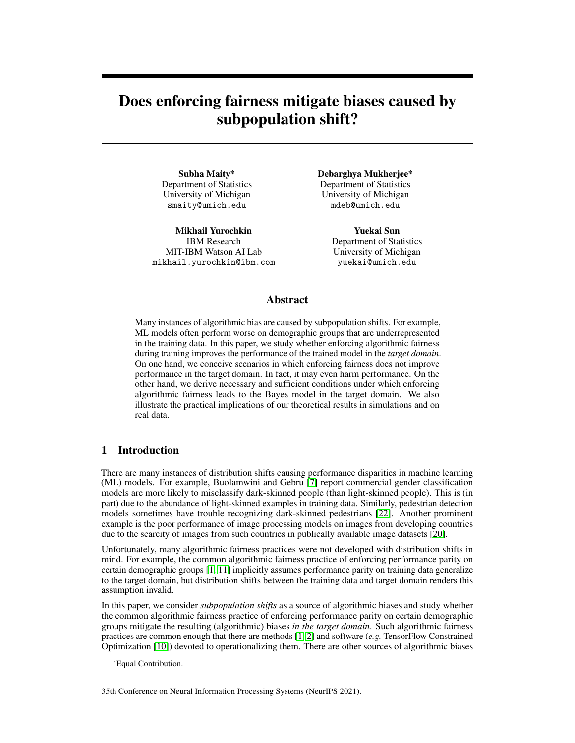i.e.  $R_{\rho}(h) = R_{\rho}(h)$  for all  $h \, 2 \, H$ . We note that this assumption is (slightly) less restrictive than the usual subpopulation shift assumption because it only requires the expected value of the loss (instead of the full conditional distribution of  $(X, Y)$  given A to be identical in the training and target domains. Furthermore, this assumption is implicit in enforcing risk-based notions of algorithmic fairness. If the risk profiles are not identical in the training and target domains, then enforcing risk-based notions of algorithmic fairness during training is pointless because performance parity during training may not generalize to the target domain. We are now ready to state our characterization of the benefits and drawbacks of enforcing RP. To keep things simple, we assume there are only two groups: a majority group and a minority group. As we shall see, depending on the marginal distribution of the subpopulations in the target domain  $P_A$ , enforcing RP can harm or improve overall performance in the target domain.

<span id="page-3-1"></span>**Theorem 3.2.** Without loss of generality, let first entry of  $\mathcal{P}_A$  be the fraction of samples from the *majority group in the training data i.e.*  $P(A = 1)$ *. Assume* 

- *1. there are only two groups and the set of risk profiles*  $R$   $\mathbb{R}^2$ ;
- *2. subpopulation shift: the risk profiles with respect to*  $\hat{P}$  *and*  $P$  *are identical;*
- *3.*  $(\hat{R}_1, \hat{R}_0) = \hat{R}$ , arg min $_{R2R}$  $h\hat{P}_A$ ; Ri is the risk profile of the risk minimizer;
- *4.*  $((R_F)_1/(R_F)_0) = R_F$ , arg min $_{R2R\backslash F_{RP}}$  h $R_A$ ; Ri is the risk profile of the fair risk minimizer.

*Then we have:*

$$
hP_{A}; \mathcal{R}i \qquad hP_{A}; \mathcal{R}_{F}i \qquad \text{if } P \ (\mathcal{A} = 1) \qquad \frac{\mathcal{R}_{0} \ (\mathcal{R}_{F})_{0}}{\mathcal{R}_{0} \ \mathcal{R}_{1}}
$$
  

$$
hP_{A}; \mathcal{R}_{F}i \qquad \text{otherwise :}
$$

*Therefore, enforcing RP harms overall performance in the target domain in the first case, while improves in the second.*

In hindsight, this result is intuitive. If  $P_A$  is close to  $P_A$  (*e.g.* the minority group is underrepresented in the training data but not by much), then enforcing RP may actually harm overall performance in the target domain. This is mainly due to the trade-off between accuracy and fairness in the IID setting (no distribution shift). If there is little difference between the training and target domains, then we expect the trade-off between accuracy and fairness to manifest (albeit to a lesser degree than in IID settings).

## <span id="page-3-0"></span>4 Benefits and drawbacks of enforcing conditional risk parity

#### 4.1 Risk-based notions of algorithmic fairness

In this section, we consider more general risk-based notions of algorithmic fairness, namely Conditional Risk Parity (CRP) which is defined as follows:

<span id="page-3-3"></span>Definition 4.1 (Conditional Risk Parity). *a model* h 2 H *is said to satisfy CRP if:*

<span id="page-3-2"></span>
$$
E_P \ (h(X); Y) \ j \ A = a; V = V = E_P \ (h(X); Y) \ j \ A = a^0; V = V \tag{4.1}
$$

*for all*  $a_i a^0 \geq A$ ,  $v \geq V$ , where V *is known as the discriminative attribute [\[18\]](#page-10-7).* 

To keep things simple, we assume  $V$  is finite-valued, but it is possible to generalize our results to risk-based notions of algorithmic fairness with more general V 's (see Appendix B). We also point out that this definition of CRP does not cover calibrations where one conditions on the model outcome  $\hat{Y}$ .

It is not hard to see that risk parity is a special case of  $(4.1)$  in which  $V$  is a trivial random variable. Another prominent instance is when  $V = Y$ , i.e. the risk profile satisfies:

$$
E_P
$$
 ^(*h*(*X*); *Y*) *j A* = *a*; *Y* = *y* =  $E_P$  ^(*h*(*X*); *Y*) *j A* = *a*<sup>*0*</sup>; *Y* = *y*

for all  $a_i a^0 \nightharpoonup A$ ,  $y \nightharpoonup Y$ . Definition [4.1](#page-3-3) is motivated by the notion of *equalized odds (EO)* [\[14\]](#page-10-8) in classification. Recall EO requires the *output* of the ML model  $h(X)$  to be independent of the sensitive attribute A *conditioned on the label*:  $h(X)$  ? A *j* Y. CRP imposes a similar condition on the *risk* of the ML model; *i.e.* the risk of the ML model must be independent of the sensitive attribute conditioned on the discriminative attribute (with label as a special case). Therefore CRP can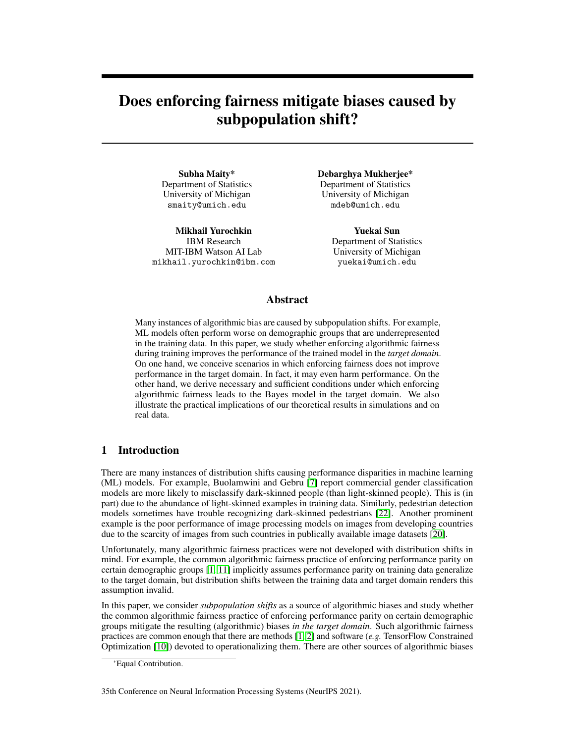be viewed as a general version of EO, where we relax the conditional independence of  $h$  to equality of conditional means. CRP is also closely related to *error rate balance* [\[9\]](#page-9-4) and *overall accuracy equality* [\[5\]](#page-9-5) in classification.

Like RP, [\(4.1\)](#page-3-2) is equivalent to linear constraints on the risk profiles of ML models. Here (with a slight abuse of notation) we define the risk profile of a classifier h under distribution  $P$  as:

<span id="page-4-1"></span><span id="page-4-0"></span>
$$
R_P(h)
$$
,  $E_P$   $(h(X)/Y) j A = a; V = v$  <sub>a2A;v2V</sub> (4.2)

Compared to [\(3.1\)](#page-1-2), [\(4.2\)](#page-4-1) offers a more detailed summary of the performance of ML models on subpopulations that not only share a common value of the sensitive attribute  $A$ , but also a common value of the discriminative attribute  $V$ . The general fairness constraint  $(4.1)$  on the training distribution P is equivalent to  $R_P(h)$  2  $F_{CRP}$ , where  $F_{CRP}$  is a linear subspace defined as:

$$
F_{\text{CRP}} \, , \, fR_{p}(h) \, 2 \, \mathbf{R}^{jA j \, jY j} \, j \, R_{p}(h) = 1 \mathbf{u}^{>} \, ; \, 1 \, 2 \, \mathbf{R}^{jA j} \, ; \mathbf{u} \, 2 \, \mathbf{R}^{jY j} \, ; \, h \, 2 \, Hg.
$$

In this section, we study a version of [\(3.2\)](#page-2-0) with this general notions of algorithmic fairness:

<span id="page-4-2"></span>
$$
\begin{array}{ccc}\n\text{min}_{h2H} & \text{E}^{\circ}(h(X);Y) & \text{min}_{R2R} & h\hat{P}_{A;V}; Ri \\
\text{subject to} & R_{P}(h) \ 2 \ F_{CRP} & \text{subject to} & R \ 2 \ F_{CRP}\n\end{array}
$$
\n(4.3)

where  $P_{A;V}$  2 [0; 1]<sup> $|AJ-VJ$ </sup> is the marginal distribution of  $(A;V)$ , i.e.  $hP_{A;V}$ ;  $R = \mathbb{E} \setminus (h(X); Y)$ .

As before we define the minimizer of [\(4.3\)](#page-4-0) as  $\hat{P}_F$  and its corresponding risk profile as  $\hat{R}_F = R_{\hat{P}}(\hat{P}_F)$ . We note that  $(4.2)$  has the same benefit as the definition in  $(3.1)$ : the fair risk minimization problem in [\(4.3\)](#page-4-0) is equivalent to a linear optimization problem in terms of the risk problems. This considerably simplifies our study of the efficacy of enforcing risk-based notions of algorithmic fairness.

#### 4.2 Subpopulation shift in the training data

Similar to equation [\(3.3\)](#page-2-2), we assume that the risk profiles with respect to P and  $\hat{P}$  are identical:

E 
$$
(h(X); Y) j A = a; V = v = \hat{E} (h(X); Y) j A = a; V = v \quad 8 a 2 A; v 2 V; h 2 H:
$$
 (4.4)

i.e.  $R_{\rho}(h) = R_{\rho}(h)$  for all  $h \, 2 \, H$ . This definition of subpopulation shift (equation (4.4)) is borrowed from the domain adaptation literature (see [\[16,](#page-10-6) [19\]](#page-10-9)). The difference in our definition is that we require equality of the expectations of the loss functions, whereas these works assume the distributions to be equal for the sub-populations. Note that under subpopulation shift  $R_p$  are  $R_{p*}$  are equal over  $H$ . In the remaining part of Section [4](#page-3-0) we shall drop the probability in subscript and denote them as  $R$ . We note the crucial role of the discriminative attributes in  $(4.4)$ : the risk profiles are only required to be identical on subpopulations that share a value of the discriminative attribute. A good choice of discriminative attributes keeps the training data informative by ensuring the risk profiles are identical on the training data and at test time. Here are two examples of good discriminative attributes.

Example 4.2 (Under-representation bias). *In binary classification, training data may suffer from under-representation bias. This kind of bias arises when positive examples from disadvantaged groups are under-represented in the training data. Here is an example of a data generating process that suffers from label bias: (i) sample training examples* (X<sup>i</sup> ; Y<sup>i</sup> ; Ai) *from* P *, (ii) discard training examples from the disadvantaged group* ( $A_i = 0$ ) with positive label ( $Y_i = 1$ ) with probability. *This leads to*

$$
P(X; Y; A) \nearrow P(X; Y; A)
$$
 (1 (1)  $1fA = 0; Y = 1g$ ):

*Because there are fewer positive examples from the disadvantaged group in the training data (compared to test data), this kind of bias causes the ML model to predict mostly negative outcomes for the disadvantaged group. In practice, this kind of bias may creep into the training data more subtly. For example, if human judgements is a crucial part of the data generating process, then implicit biases may lead to over-representation of negative examples from disadvantaged groups in the training data [\[24\]](#page-10-10).*

*For training data with underrepresentation bias, a good choice of discriminative attribute is the label. This is because the training data is a filtered version of the data at test time, and the filtering process only depends on the label (and sensitive attribute). Thus the class conditionals at test time are preserved in the training data; i.e.*  $P_{X/a:y} = P_{X/a:y}$  *for all a 2 A, y 2 Y.*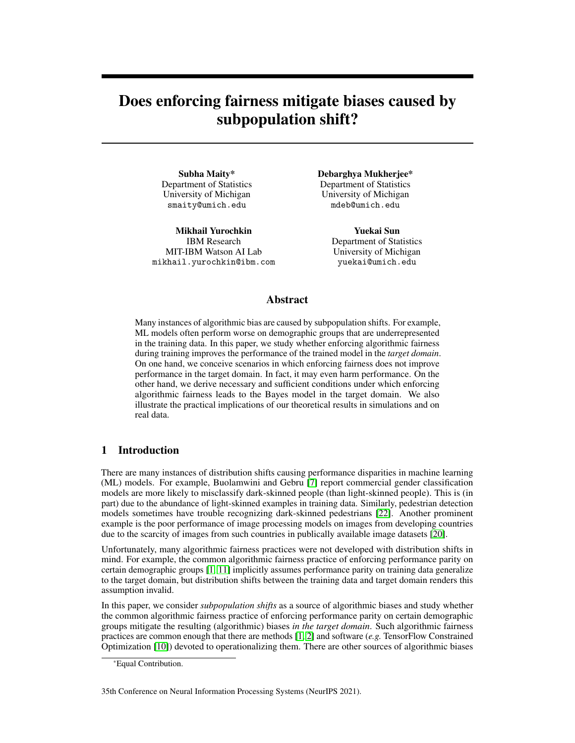

<span id="page-5-1"></span>Figure 2: Example in which enforcing algorithmic fairness harms performance in the target domain *despite the Bayes decision rule in the target domain satisfying the algorithmic fairness constraint*.

#### 4.3 Fair risk minimization may not improve overall performance

We start by showing that fair risk minimization may not improve overall performance. Without other stipulations, this is implied by a result similar to Theorem [3.2](#page-3-1) for more general risk-based notions of algorithmic fairness. Perhaps more surprising, is fair risk minimization may not improve overall performance *even if the Bayes decision rule in the target domain is algorithmically fair*:

## arg min $R_{2R}$ h $P_{A:V}$ ; Ri  $F_{CRP}$ :

Figure [2](#page-5-1) shows such a problem instance. The triangle is the set of risk profiles, and the dotted bottom of the triangle intersects the fair constraint (*i.e.* the risk profiles on the dotted line are algorithmically fair). The training objective  $\hat{P}$  is chosen so that the risk profile of (unconstrained) risk minimizer on biased training data  $\hat{\mathcal{R}}$  is the vertex on the top and the risk profile of fair risk minimizer (also on biased training data)  $R_F$  is the vertex on left. The test objective points to the right, so points close to the right of the triangle have the best overall performance in the target domain. We see that  $\mathcal R$ is closer to the right of the triangle than  $\mathcal{R}_F$ , which immediately implies  $hP$ ;  $\mathcal{R}$ i  $hP$ ;  $\mathcal{R}_F$ ; i.e. it has better performance in the target domain in comparison to  $R_f$ . This counterexample is not surprising: the assumption that R is fair is a constraint on P, R, and F; it imposes no constraints on  $\hat{P}$ . By picking  $\hat{P}$  adversarially, it is possible to have  $hP$ ;  $\hat{R}$ i  $hP$ ;  $\hat{R}$ <sub>F</sub>i.

#### <span id="page-5-0"></span>4.4 When does fair risk minimization improve overall performance

The main result in this section provides necessary and sufficient conditions for recovering the unbiased Bayes' classifier with [\(4.3\)](#page-4-0). As the unbiased Bayes' classifier is the (unconstrained) optimal classifier in the target domain, enforcing a risk-based notion of algorithmic fairness will improve overall performance in the target domain if it recovers the unbiased Bayes' classifier.

At first blush, it is tempting to think that because the unbiased Bayes classifier satisfies CRP, then enforcing this constraint always increases accuracy, this is not the case as described in the previous paragraph. Our next theorem characterizes the precise condition under which it is possible to improve accuracy on the target domain by enforcing fairness constraint:

<span id="page-5-2"></span>Theorem 4.3. *Under the assumptions*

- *1. The risk set* R *is convex.*
- *2. The risk profiles with respect to*  $\beta$  *and*  $\beta$  *are identical.*
- *3. The unconstrained risk minimizer on unbiased data is algorithmically fair; i.e.* arg min $R_{ZR}$ hP ; Ri  $F_{CRP}$ .

*the fair risk minimization* [\(4.3\)](#page-4-0) *obtains* h 2 H *such that*  $R(h) = R$  *if and only if* 



Figure 3: Total recovery from training bias by enforcing risk parity. In this example, the training bias  $\beta$   $\beta$  is always orthogonal to the risk parity constraint (blue line) because  $\hat{P}$  and P are probability distributions. When the training bias does not affect the risk profiles, enforcing risk parity allows us to totally overcome the training bias. Unfortunately, to show an example in which the risk decomposes into recoverable and non-recoverable parts, we need (at least) two more dimensions.

<span id="page-5-3"></span>
$$
F(P_{A,V} - P_{A,V}) - P_{A,V} \ge N_R(R) + F_{CRP}^2
$$
\n(4.5)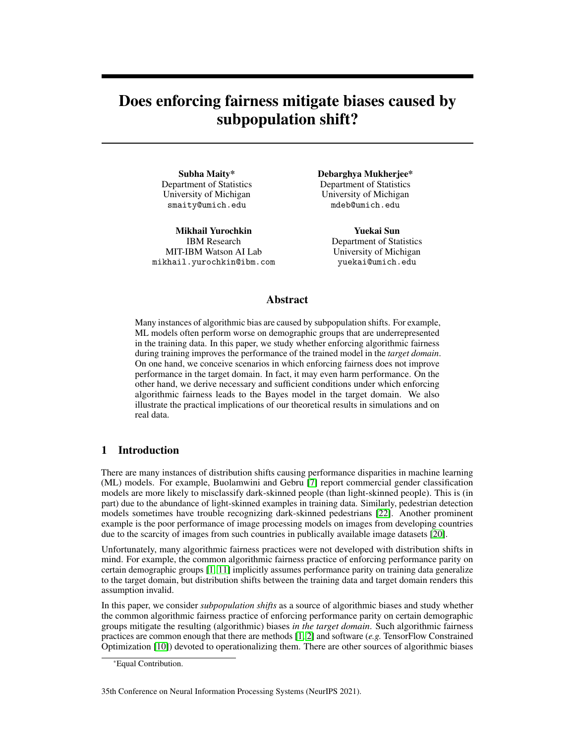*where*  $P_{A;V}$  *(resp.*  $\hat{P}_{A;V}$ *) is the marginal of* P *(resp.*  $\hat{P}$ *) with respect to (A; V), R is the optimal risk profile with respect to* P,  $N_R(R)$  *is the normal cone of* R *at* R and  $\epsilon$  *is the projection on the fair hyperplane.*

This assumption that  $R$  is convex is innocuous because it is possible to convexify the risk set by considering *randomized* decision rules. To evaluate a randomized decision rule H, we sample a decision rule h from  $H$  and evaluate h. It is not hard to see that the risk profiles of randomized decision rules are convex combinations of the risk profiles of (non-randomized) decision rules, so including randomized decision rules convexifies the risk set. The third assumption is necessary for recovery of the unbiased Bayes classifier. If the unbiased Bayes classifier is not algorithmically fair, then there is no hope for [\(4.3\)](#page-4-0) to recover it as there will always be a non-negligible bias term. This assumption is also implicit in large swaths of the algorithmic fairness literature. For example, Buolamwini and Gebru [\[7\]](#page-9-0) and Yang et al. [\[23\]](#page-10-11) suggest collecting representative training data to improve the accuracy of computer vision systems on individuals from underrepresented demographic groups. This suggestion implicitly assumes the Bayes classifier on representative training data is algorithmically fair.

Theorem [4.3](#page-5-2) characterizes the biases in the training data from which can be completely removed by enforcing appropriate algorithmic fairness constraints. The key insight from this theorem is a decomposition of the training bias into two parts: a part orthogonal to the fair constraint and the remaining part in  $N_R(R)$ . Enforcing an appropriate risk-based notion of algorithmic fairness overcomes the first part of the bias. This occurs regardless of the magnitude of this part of the bias (see Corollary [4.4\)](#page-6-0), which is also evident from our computational results. The second part of the bias (the part in  $N_R(R)$ ) represents the "natural" robustness of R to changes in P : if P is in  $N_R(R)$ , then the unconstrained risk minimizer on training data remains  $R$ . The magnitude of the bias in this set cannot be too large, and enforcing algorithmic fairness constraints does not help overcome this part of the bias. Although we stated our main result only for finite-valued discriminative attributes for simplicity of exposition, please see Appendix [2](#page-1-1) for a more general version of Theorem [4.3](#page-5-2) that applies to more general (including continuous-valued) discriminative attributes.

<span id="page-6-0"></span>**Corollary 4.4.** A sufficient condition for [\(4.5\)](#page-5-3) is  $\mathcal{P}_{A:V}$   $\mathcal{P}_{A:V}$  2  $\mathcal{F}_{CRP}^2$ .

Corollary [4.4](#page-6-0) allows large differences between  $\hat{P}_{A;V}$  and its unbiased counterpart  $P_{A;V}$ , as long as the differences are confined to  $F^7$ . Intuitively, [\(4.3\)](#page-4-0) enables practitioners to recover from large biases in  $F^2$  because the algorithmic fairness constraint "soaks up" any component of  $P_{A;V}$  in  $F^2$ . We explore the implications of Corollary [4.4](#page-6-0) for risk parity and CRP.

**Risk Parity:** For RP, V is trivial random variable, hence  $P_A$   $P_A$   $2F_{RP}^2$  means that it has mean 0. This is true for any  $P_A$  as  $hP_A$ ;  $1i = hP_A$ ;  $1i = 1$ . Hence, the Bayes' classifier can be recovered under any perturbation. More specifically, recall the example of women historically underrepresented in STEM fields mentioned in the Introduction. Such training data is biased in its gender representation which differs at test time where women are better represented. Classifiers trained on biased data with the risk Parity fairness constraint will generalize better at test time.

**Conditional risk parity:** In this case  $V = Y$  and the condition  $P_{A;Y}$   $P_{A;Y}$   $2 F_{CRP}^2$  implies that the sum of each column of  $\hat{P}_{A;Y}$   $P_{A;Y}$  must be 0. Hence, to recover the Bayes classifier under equalized odds fairness constraints, we are allowed to perturb  $P_{A;Y}$  in such a way, that they have the same column sums: i.e. for any label, we are allowed to perturb the distribution of protected attributes for that label, but we have to keep the marginal distribution of the label to be same for both  $P_{A;Y}$  and  $P_{A;Y}$ .

In practice, it is unlikely that the training bias is exactly orthogonal to the fair constraint, which happens only if the second part of the bias (i.e. the part in the normal cone at  $R$ ) is small enough. Theorem [4.3](#page-5-2) provides a general characterization along with a precise notion of this "small enough" condition.

Remark 4.5. *Theorem 4.3 can further be generalized for any discrete/continuous* A *and* V *(as defined in (4.1), the proof for the continuous case can be found in the supplementary document). Thus, our theory applies to many fairness constraints which fall under the setup in Equation (4.1), where* V *can be any discriminative attribute. However, our conditions do not cover calibration where one conditions on the model outcome*  $\hat{Y}$ *.*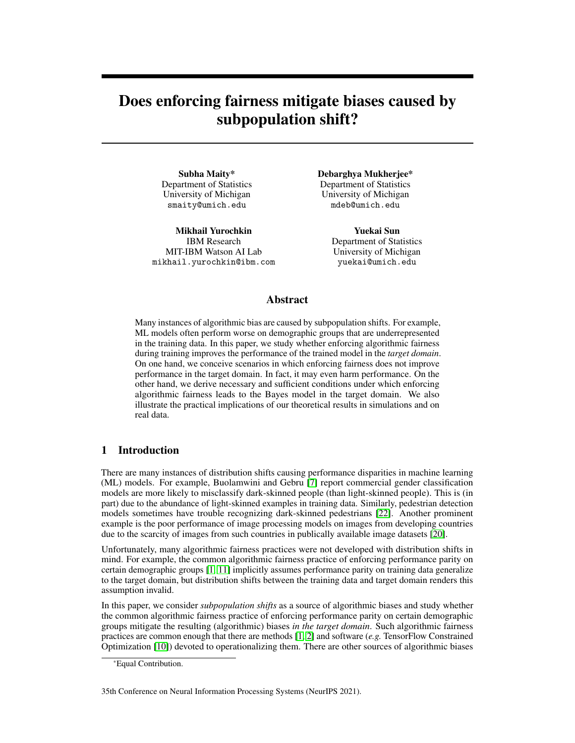#### 4.5 Related work

Most of the prior works on algorithmic fairness assume fairness is an intrinsically desirable property of an ML model, but this assumption is unrealistic in practice [\[1,](#page-9-1) [11,](#page-10-2) [25\]](#page-10-12). There is a small but growing line of work on how enforcing fairness helps ML models recover from bias in the training data. Kleinberg and Raghavan [\[15\]](#page-10-13), Celis et al. [\[8\]](#page-9-6) consider strategies for correcting biases in hiring processes. They show that correcting the biases not only increases the fraction of successful applicants from the minority group but also boosts the quality of successful applicants. Dutta et al. [\[13\]](#page-10-14) study the accuracy-fairness trade-off in binary classification in terms of the separation of the classes within the protected groups. They explain the accuracy-fairness trade-off in terms of this separation and propose a way of achieving fairness without compromising separation by collecting more features.

Blum and Stangl [\[6\]](#page-9-7) study how common group fairness criteria help binary classification models recover from bias in the training data. In particular, they show that the equal opportunity criteria [\[14\]](#page-10-8) recovers the Bayes classifier despite under-representation and labeling biases in the training data. Our results complement theirs. Instead of comparing the effects of enforcing various fairness criteria on training data with two types of biases, we characterize the types of biases that the fairness criteria help overcome. Our results also reveal the geometric underpinnings of the constants that arise in [Blum and Stangl'](#page-9-7)s results. Three other differences between our results and theirs are: (i) they only consider binary classification, while we consider all ML tasks that boil down to risk minimization, (ii) they allow some form of posterior drift (so the risk profiles of the models in  $H$  with respect to  $P$  and  $P$  may differ in some ways), but only permit marginal drift in the label ( $V = Y$ ), (iii) their conditions are sufficient for recovery of the fair Bayes decision rule (in their setting), while our conditions are also necessary (in our setting).

## 5 Computational results

We verify the theoretical findings of the paper empirically. Our goal is to show that an algorithm trained with fairness constraints on the biased train data  $\hat{P}$  achieves superior performance on the true data generating  $P$  at test time in comparison to an algorithm trained without fairness considerations.

There are several algorithms in the literature that offer the functionality of empirical risk minimization subject to various fairness constraints, e.g. Cotter et al. [\[11\]](#page-10-2) and Agarwal et al. [\[1\]](#page-9-1). Any such algorithm will suffice to verify our theory. In our experiments we use Reductions fair classification algorithm [\[1\]](#page-9-1) with logistic regression as the base classifier. For the fairness constraint we consider Equalized Odds [\[14\]](#page-10-8) (EO) — one of the major and more nuanced fairness definitions. We refer to Reductions algorithm trained with loose EO violation constraint as baseline and Reductions trained with tight EO violation constraint as fair classifier (please see Appendix [3](#page-1-0) for additional details and supplementary material for the code).

## Simulations.

We first verify the implications of Corollary [4.4](#page-6-0) using simulation studies. We follow the Conditional risk parity scenario from Section [4.](#page-3-0) Specifically, consider a binary classification problem with two protected groups, i.e.  $Y \nightharpoonup 2$  f0; 1g and  $A \nightharpoonup 2$  f0; 1g. We set  $\overline{P}$  to have equal representation of protected groups conditioned on the label and biased data  $\hat{P}$  to have one of the protected groups underrepresented. Specifically, let  $p_{ay} = P_{A=a;Y=y}$ , i.e. the a; y indexed element of  $P_{A/Y}$ ;  $p_{ay} = 0.25$  8a; y for P and  $p_{1y} = p_{minor}$ ,  $p_{0y} = p_{major} = 0.5$  p<sub>minor</sub> for  $\hat{P}$ . For both P and  $\hat{P}$  we fix class marginals  $p_0 = p_1 = 0.5$ and generate Gaussian features  $X/A = a/Y = y$ 



 $N(\alpha_{\alpha y}, \alpha_{\alpha y})$  in 2-dimensions (see additional data generating details in Appendix C). In Figure [5](#page-8-0) we show a

<span id="page-7-0"></span>Figure 4: Test acc. on  $P$  and  $\hat{P}$  when trained on the (biased) data from  $\hat{P}$ .

qualitative example of simulated train data from  $\hat{P}$  with  $p_{minor} = 0.1$  and test data from P, and the corresponding decision boundaries of a baseline classifier and a classifier trained with the Equalized Odds fairness constraint (irregularities in the decision heatmaps are due to stochasticity in the Reduc-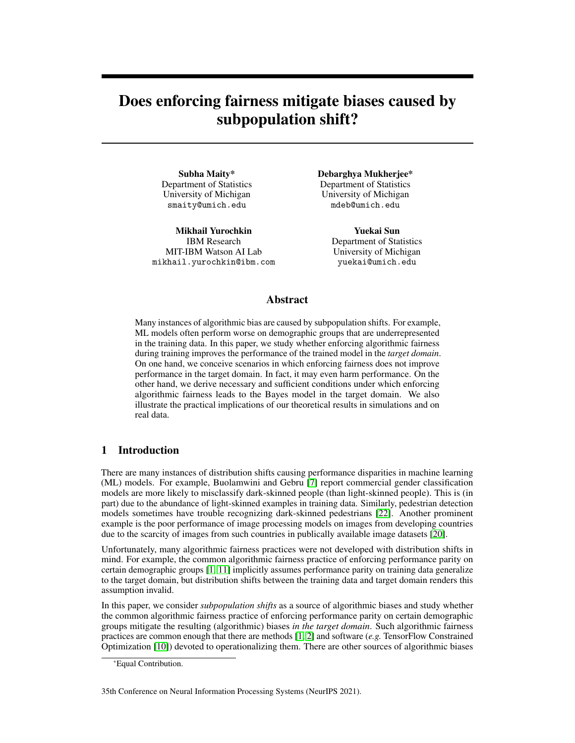

<span id="page-8-0"></span>Figure 5: Decision heatmaps for (left) baseline on train data from  $\mathcal{P}$ ; (center left) fair classifier on train data from  $\hat{P}$ ; (center right) baseline on test data from P ; (right) fair classifier on test data from P . Decision boundary of the fair classifier has larger slope better accounting for the group  $a = 1$ underrepresented in the train data. Consequently its performance is better on the unbiased test data.

tions prediction rule). In this example fair classifier is *3% more accurate* on the test data and 1% less accurate on a biased test data sampled from  $\beta$  (latter not shown in the figure)

We proceed with a quantitative study by varying degree of bias in  $\mathcal P$  via changing  $p_{minor}$  in  $[0.01/0.25]$  and comparing performance of the baseline and fair classifier on test data from P and  $\hat{P}$ . We present results over 100 runs of the experiment in Figure [4.](#page-7-0) Notice that the sum of each column of  $\hat{P}_{A;Y}$   $P_{A;Y}$  is 0 for any value of  $p_{minor}$  and we observe that the fair classifier has almost constant accuracy on  $\overline{P}$  (consistently outperforming the baseline), as predicted by Corollary [4.4.](#page-6-0) The largest bias in the training data corresponds to  $p_{minor} = 0.01$ , where baseline is erroneous on the whole  $a = 1$ ;  $y = 0$  subgroup (cf. Figure [5\)](#page-8-0) resulting in close to 75% accuracy corresponding to the remaining 3 (out of 4) subgroups. For  $p_{minor} = 0.05$  minority group acts as outliers causing additional errors at test time resulting in the worst performance overall. When  $p_{minor} = 0.25$ ,  $\hat{P} = P$  and all methods perform the same as expected. Results on  $\hat{P}$  correspond to the case where test data follows same distribution as train data, often assumed in the literature: here baseline can outperform fair classifier under the more extreme sampling bias conditions, i.e.  $p_{minor}$  0.1. We outperform fair classifier under the more extreme sampling bias conditions, i.e.  $p_{minor}$ note that as the society moves towards eliminating injustice, we expect test data in practice to be closer to P rather then replicating biases of the historical train data  $\hat{P}$ .

Recidivism prediction on COMPAS data. We verify that our theoretical findings continue to apply on real data. We train baseline and fair classifier on COMPAS dataset [\[3\]](#page-9-8). There are two binary protected attributes, Gender (male and female) and Race (white and non-white), resulting in 4 protected groups  $A \, 2 \, \textit{f}0$ ; 1; 2; 3g. The task is to predict if a defendant will re-

<span id="page-8-1"></span>Table 1: Accuracy on COMPAS data

|                 | TEST ON $P^*$   | TEST ON $P$     |
|-----------------|-----------------|-----------------|
| FAIR            | $0.652 + 0.013$ | $0.660 + 0.009$ |
| <b>BASELINE</b> | $0.634 + 0.011$ | $0.668 + 0.010$ |

offend, i.e.  $Y \nightharpoonup Z \nightharpoondown Z \nightharpoondown Z$ . We repeat the experiment 100 times, each time splitting the data into identically distributed 70-30 train-test split, i.e.  $\hat{P}$  for train and test, and obtaining test set from  $P$ by subsampling test data to preserve  $Y$  marginals and enforcing equal representation at each of the 4 levels of the protected attribute A. Equal representation of the protected groups in  $P$  is sufficient for satisfying the assumption 3 of Theorem [4.3](#page-5-2) under an additional condition that noise levels are similar across protected groups. For Conditional Risk Parity, condition in eq. [\(4.5\)](#page-5-3) of Theorem [4.3](#page-5-2) is satisfied as long as  $\beta$  and  $\beta$  have the same Y marginals. Thus, we expect that enforcing EO will improve test accuracy on  $P$  in this experiment.

We present results in Table [1.](#page-8-1) We see that our theory holds in practice: *accuracy of the fair classifier is 1.8% higher* on  $P$ . Baseline is expectedly more accurate on the biased test data from  $\hat{P}$ , but only by 0.8%. We present results for the same experimental setup on the Adult dataset [\[4\]](#page-9-9) in Table 2 in Appendix C. We observe same pattern: in comparison to the baseline, fair classifier increases accuracy on  $P$ , but is worse on the biased test data from  $\hat{P}$ .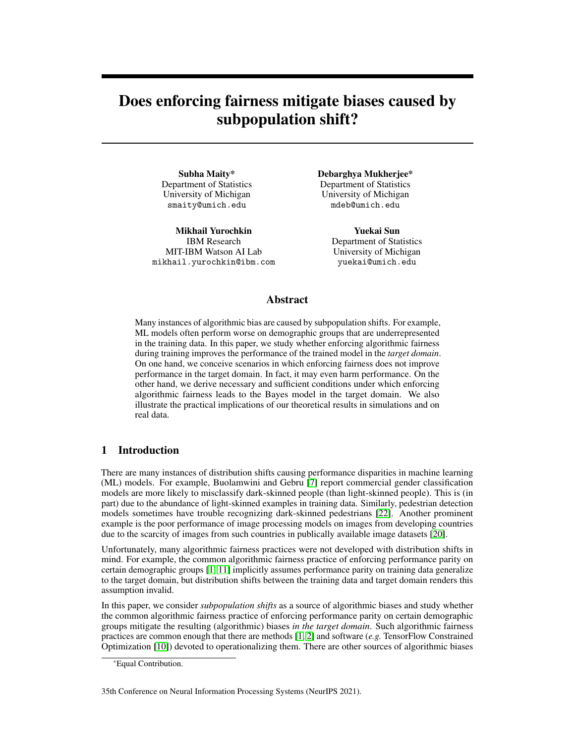## 6 Summary and discussion

In this paper, we studied the efficacy of enforcing common risk-based notions of algorithmic fairness in a subpopulation shift setting. This study is motivated by a myriad of examples in which algorithmic biases are traced back to subpopulations shifts in the training data (see [\[7,](#page-9-0) [22\]](#page-10-0)). We show that enforcing risk-based notions of algorithmic fairness may harm or improve the performance of the trained model in the target domain. Our theoretical results precisely characterize when fair risk minimization harms and improves model performance. Practitioners should be careful and actually check that enforcing fairness is improving model performance in the target domain. For example, consider the Gender Shades [\[7\]](#page-9-0) study which shows that the commercial gender classification algorithms are less accurate on dark-skinned individuals. A practitioner may attempt to mitigate this algorithmic bias by enforcing a RP, which leads to a fair model that sacrifices some performance on lighter-skinned individuals in exchange for improved accuracy on darker skinned individuals. Taking a step back, one of the main takeaways of our study is by considering whether enforcing a particular notion of algorithmic fairness improves model performance in the target domain, it is possible to compare algorithmic fairness practices in a purely statistical way. We hope this alleviates one of the barriers to broader adoption of algorithmic fairness practices: it is often unclear which fairness definition to enforce.

# Acknowledgments and Disclosure of Funding

This note is based upon work supported by the National Science Foundation (NSF) under grants no. 1916271, 2027737, and 2113373. Any opinions, findings, and conclusions or recommendations expressed in this note are those of the authors and do not necessarily reflect the views of the NSF.

## **References**

- <span id="page-9-1"></span>[1] Alekh Agarwal, Alina Beygelzimer, Miroslav Dudík, John Langford, and Hanna Wallach. A Reductions Approach to Fair Classification. *arXiv:1803.02453 [cs]*, July 2018.
- <span id="page-9-2"></span>[2] Alekh Agarwal, Miroslav Dudík, and Zhiwei Steven Wu. Fair Regression: Quantitative Definitions and Reduction-based Algorithms. *arXiv:1905.12843 [cs, stat]*, May 2019.
- <span id="page-9-8"></span>[3] Julia Angwin, Jeff Larson, Surya Mattu, and Lauren Kirchner. Machine Bias. www.propublica.org/article/machine-bias-risk-assessments-in-criminal-sentencing, May 2016.
- <span id="page-9-9"></span>[4] K. Bache and M. Lichman. UCI machine learning repository. 2013.
- <span id="page-9-5"></span>[5] Richard Berk, Hoda Heidari, Shahin Jabbari, Michael Kearns, and Aaron Roth. Fairness in Criminal Justice Risk Assessments: The State of the Art. *arXiv:1703.09207 [stat]*, March 2017.
- <span id="page-9-7"></span>[6] Avrim Blum and Kevin Stangl. Recovering from Biased Data: Can Fairness Constraints Improve Accuracy? *arXiv:1912.01094 [cs, stat]*, December 2019.
- <span id="page-9-0"></span>[7] Joy Buolamwini and Timnit Gebru. Gender Shades: Intersectional Accuracy Disparities in Commercial Gender Classification. In *Proceedings of Machine Learning Research*, volume 87, pages 77–91, 2018.
- <span id="page-9-6"></span>[8] L. Elisa Celis, Anay Mehrotra, and Nisheeth K. Vishnoi. Interventions for ranking in the presence of implicit bias. In *Proceedings of the 2020 Conference on Fairness, Accountability, and Transparency*, FAT\* '20, pages 369–380, New York, NY, USA, January 2020. Association for Computing Machinery. ISBN 978-1-4503-6936-7. doi: 10.1145/3351095.3372858.
- <span id="page-9-4"></span>[9] Alexandra Chouldechova. Fair prediction with disparate impact: A study of bias in recidivism prediction instruments. *arXiv:1703.00056 [cs, stat]*, February 2017.
- <span id="page-9-3"></span>[10] Andrew Cotter, Maya Gupta, Heinrich Jiang, Nathan Srebro, Karthik Sridharan, Serena Wang, Blake Woodworth, and Seungil You. Training Well-Generalizing Classifiers for Fairness Metrics and Other Data-Dependent Constraints. *arXiv:1807.00028 [cs, stat]*, September 2018.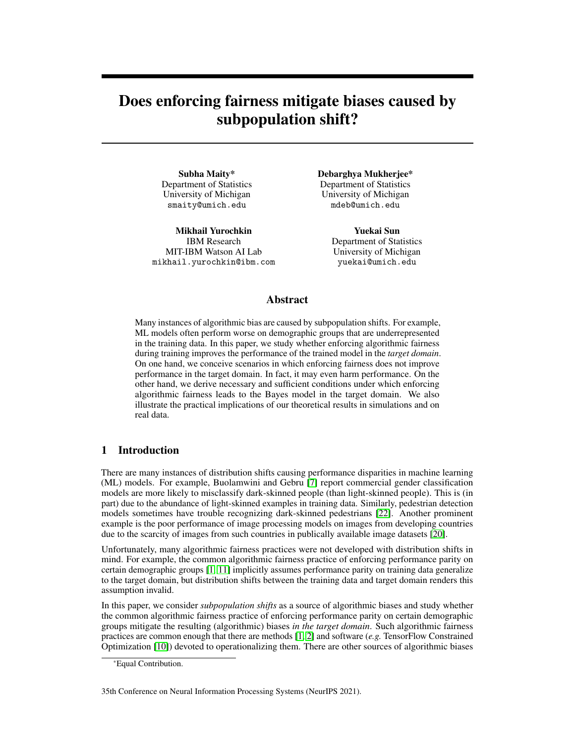- <span id="page-10-2"></span>[11] Andrew Cotter, Heinrich Jiang, Maya Gupta, Serena Wang, Taman Narayan, Seungil You, and Karthik Sridharan. Optimization with Non-Differentiable Constraints with Applications to Fairness, Recall, Churn, and Other Goals. *Journal of Machine Learning Research*, 20(172): 1–59, 2019. ISSN 1533-7928.
- <span id="page-10-5"></span>[12] Michele Donini, Luca Oneto, Shai Ben-David, John S. Shawe-Taylor, and Massimiliano Pontil. Empirical Risk Minimization Under Fairness Constraints. *Advances in Neural Information Processing Systems*, 31:2791–2801, 2018.
- <span id="page-10-14"></span>[13] Sanghamitra Dutta, Dennis Wei, Hazar Yueksel, Pin-Yu Chen, Sijia Liu, and Kush R. Varshney. An Information-Theoretic Perspective on the Relationship Between Fairness and Accuracy. *arXiv:1910.07870 [cs, math, stat]*, October 2019.
- <span id="page-10-8"></span>[14] Moritz Hardt, Eric Price, and Nathan Srebro. Equality of Opportunity in Supervised Learning. *arXiv:1610.02413 [cs]*, October 2016.
- <span id="page-10-13"></span>[15] Jon Kleinberg and Manish Raghavan. Selection Problems in the Presence of Implicit Bias. January 2018.
- <span id="page-10-6"></span>[16] Pang Wei Koh, Shiori Sagawa, Henrik Marklund, Sang Michael Xie, Marvin Zhang, Akshay Balsubramani, Weihua Hu, Michihiro Yasunaga, Richard Lanas Phillips, Sara Beery, Jure Leskovec, Anshul Kundaje, Emma Pierson, Sergey Levine, Chelsea Finn, and Percy Liang. WILDS: A Benchmark of in-the-Wild Distribution Shifts. *arXiv:2012.07421 [cs]*, December 2020.
- <span id="page-10-3"></span>[17] Ziad Obermeyer, Brian Powers, Christine Vogeli, and Sendhil Mullainathan. Dissecting racial bias in an algorithm used to manage the health of populations. *Science*, 366(6464):447–453, October 2019. ISSN 0036-8075, 1095-9203. doi: 10.1126/science.aax2342.
- <span id="page-10-7"></span>[18] Ya'acov Ritov, Yuekai Sun, and Ruofei Zhao. On conditional parity as a notion of nondiscrimination in machine learning. *arXiv:1706.08519 [cs, stat]*, June 2017.
- <span id="page-10-9"></span>[19] Shibani Santurkar, Dimitris Tsipras, and Aleksander Madry. {BREEDS}: Benchmarks for subpopulation shift. In *International Conference on Learning Representations*, 2021. URL <https://openreview.net/forum?id=mQPBmvyAuk>.
- <span id="page-10-1"></span>[20] Shreya Shankar, Yoni Halpern, Eric Breck, James Atwood, Jimbo Wilson, and D. Sculley. No Classification without Representation: Assessing Geodiversity Issues in Open Data Sets for the Developing World. *arXiv:1711.08536 [stat]*, November 2017.
- <span id="page-10-4"></span>[21] Tom Simonite. The Best Algorithms Still Struggle to Recognize Black Faces. *Wired*, July 2019. ISSN 1059-1028.
- <span id="page-10-0"></span>[22] Benjamin Wilson, Judy Hoffman, and Jamie Morgenstern. Predictive Inequity in Object Detection. *arXiv:1902.11097 [cs, stat]*, February 2019.
- <span id="page-10-11"></span>[23] Kaiyu Yang, Klint Qinami, Li Fei-Fei, Jia Deng, and Olga Russakovsky. Towards fairer datasets: Filtering and balancing the distribution of the people subtree in the imagenet hierarchy. In *Proceedings of the 2020 Conference on Fairness, Accountability, and Transparency*, pages 547–558, 2020.
- <span id="page-10-10"></span>[24] Samuel Yeom and Michael Carl Tschantz. Discriminative but Not Discriminatory: A Comparison of Fairness Definitions under Different Worldviews. *arXiv:1808.08619 [cs, stat]*, September 2019.
- <span id="page-10-12"></span>[25] Mikhail Yurochkin, Amanda Bower, and Yuekai Sun. Training individually fair ML models with sensitive subspace robustness. In *International Conference on Learning Representations*, Addis Ababa, Ethiopia, 2020.